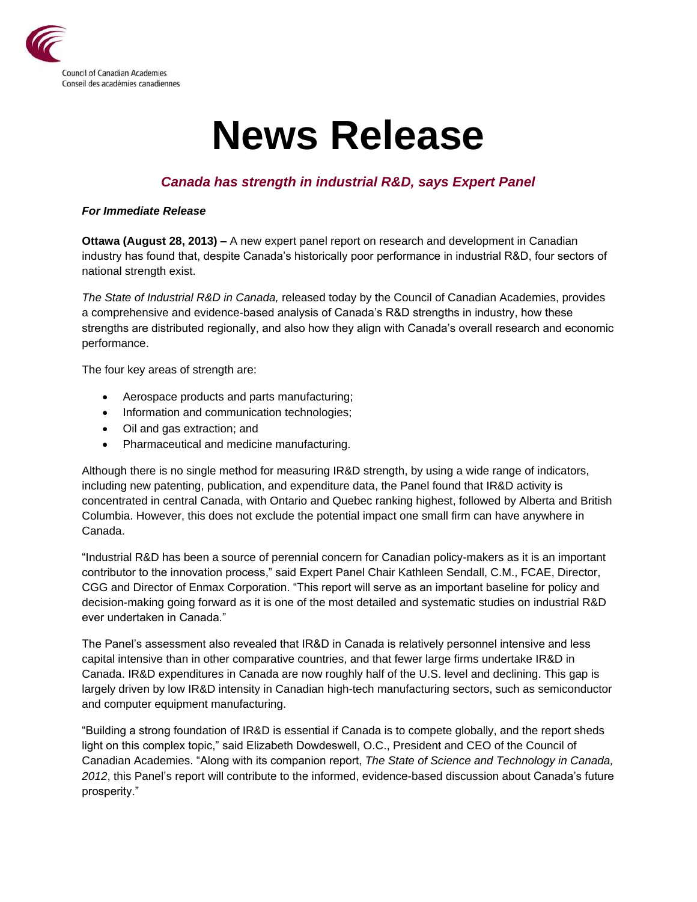

## **News Release**

## *Canada has strength in industrial R&D, says Expert Panel*

## *For Immediate Release*

**Ottawa (August 28, 2013) –** A new expert panel report on research and development in Canadian industry has found that, despite Canada's historically poor performance in industrial R&D, four sectors of national strength exist.

*The State of Industrial R&D in Canada,* released today by the Council of Canadian Academies, provides a comprehensive and evidence-based analysis of Canada's R&D strengths in industry, how these strengths are distributed regionally, and also how they align with Canada's overall research and economic performance.

The four key areas of strength are:

- Aerospace products and parts manufacturing;
- Information and communication technologies;
- Oil and gas extraction; and
- Pharmaceutical and medicine manufacturing.

Although there is no single method for measuring IR&D strength, by using a wide range of indicators, including new patenting, publication, and expenditure data, the Panel found that IR&D activity is concentrated in central Canada, with Ontario and Quebec ranking highest, followed by Alberta and British Columbia. However, this does not exclude the potential impact one small firm can have anywhere in Canada.

"Industrial R&D has been a source of perennial concern for Canadian policy-makers as it is an important contributor to the innovation process," said Expert Panel Chair Kathleen Sendall, C.M., FCAE, Director, CGG and Director of Enmax Corporation. "This report will serve as an important baseline for policy and decision-making going forward as it is one of the most detailed and systematic studies on industrial R&D ever undertaken in Canada."

The Panel's assessment also revealed that IR&D in Canada is relatively personnel intensive and less capital intensive than in other comparative countries, and that fewer large firms undertake IR&D in Canada. IR&D expenditures in Canada are now roughly half of the U.S. level and declining. This gap is largely driven by low IR&D intensity in Canadian high-tech manufacturing sectors, such as semiconductor and computer equipment manufacturing.

"Building a strong foundation of IR&D is essential if Canada is to compete globally, and the report sheds light on this complex topic," said Elizabeth Dowdeswell, O.C., President and CEO of the Council of Canadian Academies. "Along with its companion report, *The State of Science and Technology in Canada, 2012*, this Panel's report will contribute to the informed, evidence-based discussion about Canada's future prosperity."